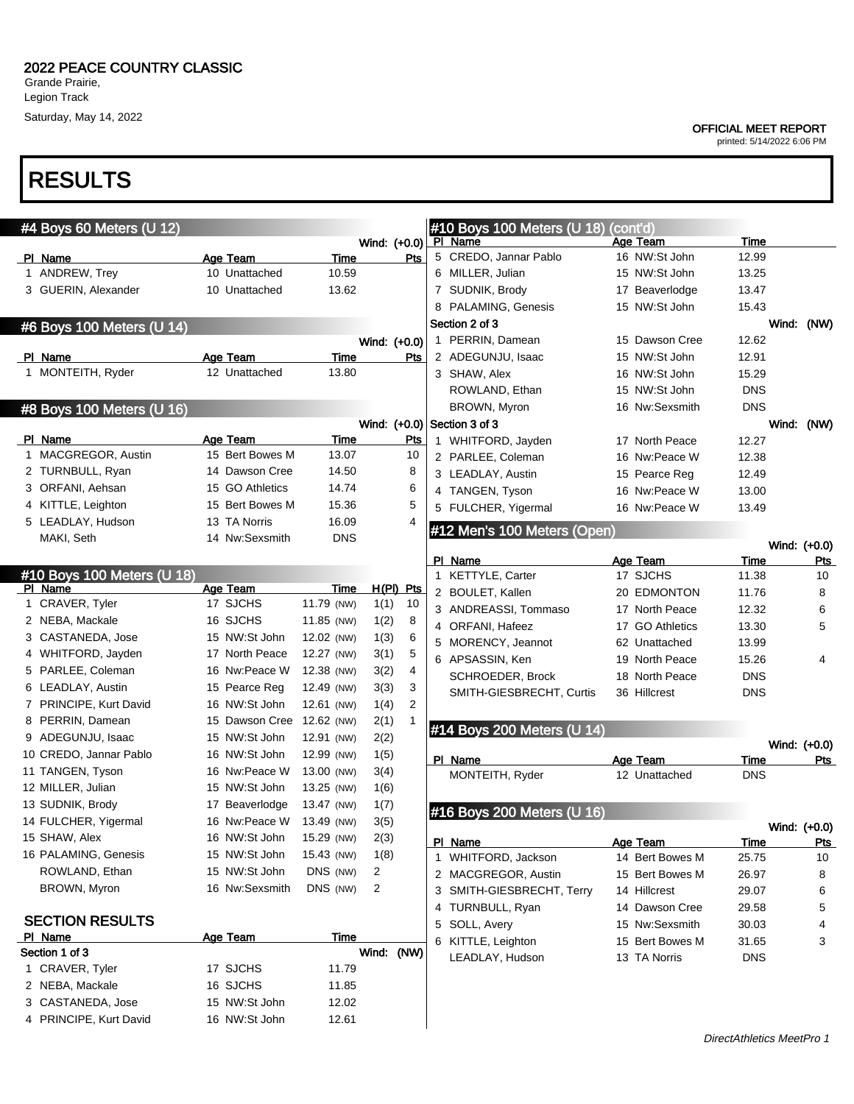Grande Prairie, Legion Track Saturday, May 14, 2022

## RESULTS

| #4 Boys 60 Meters (U 12)   |                 |             |              |      | #10 Boys 100 Meters (U 18)    | (cont'd)           |             |              |
|----------------------------|-----------------|-------------|--------------|------|-------------------------------|--------------------|-------------|--------------|
|                            |                 |             | Wind: (+0.0) |      | PI Name                       | Age Team           | Time        |              |
| PI Name                    | Age Team        | Time        |              | Pts  | 5 CREDO, Jannar Pablo         | 16 NW:St John      | 12.99       |              |
| 1 ANDREW, Trey             | 10 Unattached   | 10.59       |              |      | 6 MILLER, Julian              | 15 NW:St John      | 13.25       |              |
| 3 GUERIN, Alexander        | 10 Unattached   | 13.62       |              |      | 7 SUDNIK, Brody               | 17 Beaverlodge     | 13.47       |              |
|                            |                 |             |              |      | 8 PALAMING, Genesis           | 15 NW:St John      | 15.43       |              |
| #6 Boys 100 Meters (U 14)  |                 |             |              |      | Section 2 of 3                |                    |             | Wind: (NW)   |
|                            |                 |             | Wind: (+0.0) |      | 1 PERRIN, Damean              | 15 Dawson Cree     | 12.62       |              |
| PI Name                    | Age Team        | <b>Time</b> |              | Pts  | 2 ADEGUNJU, Isaac             | 15 NW:St John      | 12.91       |              |
| 1 MONTEITH, Ryder          | 12 Unattached   | 13.80       |              |      | 3 SHAW, Alex                  | 16 NW:St John      | 15.29       |              |
|                            |                 |             |              |      | ROWLAND, Ethan                | 15 NW:St John      | <b>DNS</b>  |              |
| #8 Boys 100 Meters (U 16)  |                 |             |              |      | BROWN, Myron                  | 16 Nw:Sexsmith     | <b>DNS</b>  |              |
|                            |                 |             |              |      | Wind: $(+0.0)$ Section 3 of 3 |                    |             | Wind: (NW)   |
| PI Name                    | Age Team        | Time        |              | Pts  | 1 WHITFORD, Jayden            | 17 North Peace     | 12.27       |              |
| 1 MACGREGOR, Austin        | 15 Bert Bowes M | 13.07       |              | 10   | 2 PARLEE, Coleman             | 16 Nw:Peace W      | 12.38       |              |
| 2 TURNBULL, Ryan           | 14 Dawson Cree  | 14.50       |              | 8    | 3 LEADLAY, Austin             | 15 Pearce Reg      | 12.49       |              |
| 3 ORFANI, Aehsan           | 15 GO Athletics | 14.74       |              | 6    | 4 TANGEN, Tyson               | 16 Nw:Peace W      | 13.00       |              |
| 4 KITTLE, Leighton         | 15 Bert Bowes M | 15.36       |              | 5    | 5 FULCHER, Yigermal           | 16 Nw:Peace W      | 13.49       |              |
| 5 LEADLAY, Hudson          | 13 TA Norris    | 16.09       |              | 4    | #12 Men's 100 Meters (Open)   |                    |             |              |
| MAKI, Seth                 | 14 Nw:Sexsmith  | <b>DNS</b>  |              |      |                               |                    |             | Wind: (+0.0) |
|                            |                 |             |              |      | PI Name                       | Age Team           | Time        | Pts          |
| #10 Boys 100 Meters (U 18) |                 |             |              |      | 1 KETTYLE, Carter             | 17 SJCHS           | 11.38       | 10           |
| PI Name                    | Age Team        | Time        | H(PI) Pts    |      | 2 BOULET, Kallen              | <b>20 EDMONTON</b> | 11.76       | 8            |
| 1 CRAVER, Tyler            | 17 SJCHS        | 11.79 (NW)  | 1(1)         | 10   | 3 ANDREASSI, Tommaso          | 17 North Peace     | 12.32       | 6            |
| 2 NEBA, Mackale            | 16 SJCHS        | 11.85 (NW)  | 1(2)         | 8    | 4 ORFANI, Hafeez              | 17 GO Athletics    | 13.30       | 5            |
| 3 CASTANEDA, Jose          | 15 NW:St John   | 12.02 (NW)  | 1(3)         | 6    | 5 MORENCY, Jeannot            | 62 Unattached      | 13.99       |              |
| 4 WHITFORD, Jayden         | 17 North Peace  | 12.27 (NW)  | 3(1)         | 5    | 6 APSASSIN, Ken               | 19 North Peace     | 15.26       | 4            |
| 5 PARLEE, Coleman          | 16 Nw:Peace W   | 12.38 (NW)  | 3(2)         | 4    | SCHROEDER, Brock              | 18 North Peace     | <b>DNS</b>  |              |
| 6 LEADLAY, Austin          | 15 Pearce Reg   | 12.49 (NW)  | 3(3)         | 3    | SMITH-GIESBRECHT, Curtis      | 36 Hillcrest       | <b>DNS</b>  |              |
| 7 PRINCIPE, Kurt David     | 16 NW:St John   | 12.61 (NW)  | 1(4)         | 2    |                               |                    |             |              |
| 8 PERRIN, Damean           | 15 Dawson Cree  | 12.62 (NW)  | 2(1)         | 1    | #14 Boys 200 Meters (U 14)    |                    |             |              |
| 9 ADEGUNJU, Isaac          | 15 NW:St John   | 12.91 (NW)  | 2(2)         |      |                               |                    |             | Wind: (+0.0) |
| 10 CREDO, Jannar Pablo     | 16 NW:St John   | 12.99 (NW)  | 1(5)         |      | PI_Name                       | <b>Age Team</b>    | Time        | Pts          |
| 11 TANGEN, Tyson           | 16 Nw:Peace W   | 13.00 (NW)  | 3(4)         |      | MONTEITH, Ryder               | 12 Unattached      | <b>DNS</b>  |              |
| 12 MILLER, Julian          | 15 NW:St John   | 13.25 (NW)  | 1(6)         |      |                               |                    |             |              |
| 13 SUDNIK, Brody           | 17 Beaverlodge  | 13.47 (NW)  | 1(7)         |      | #16 Boys 200 Meters (U 16)    |                    |             |              |
| 14 FULCHER, Yigermal       | 16 Nw:Peace W   | 13.49 (NW)  | 3(5)         |      |                               |                    |             | Wind: (+0.0) |
| 15 SHAW, Alex              | 16 NW:St John   | 15.29 (NW)  | 2(3)         |      | PI Name                       | <u>Age Team</u>    | <u>lime</u> | <u>Pts</u>   |
| 16 PALAMING, Genesis       | 15 NW:St John   | 15.43 (NW)  | 1(8)         |      | 1 WHITFORD, Jackson           | 14 Bert Bowes M    | 25.75       | 10           |
| ROWLAND, Ethan             | 15 NW:St John   | DNS (NW)    | 2            |      | 2 MACGREGOR, Austin           | 15 Bert Bowes M    | 26.97       | 8            |
| BROWN, Myron               | 16 Nw:Sexsmith  | DNS (NW)    | 2            |      | 3 SMITH-GIESBRECHT, Terry     | 14 Hillcrest       | 29.07       | 6            |
|                            |                 |             |              |      | 4 TURNBULL, Ryan              | 14 Dawson Cree     | 29.58       | 5            |
| <b>SECTION RESULTS</b>     |                 |             |              |      | 5 SOLL, Avery                 | 15 Nw:Sexsmith     | 30.03       | 4            |
| PI Name                    | Age Team        | Time        |              |      | 6 KITTLE, Leighton            | 15 Bert Bowes M    | 31.65       | 3            |
| Section 1 of 3             |                 |             | Wind:        | (NW) | LEADLAY, Hudson               | 13 TA Norris       | <b>DNS</b>  |              |
| 1 CRAVER, Tyler            | 17 SJCHS        | 11.79       |              |      |                               |                    |             |              |
| 2 NEBA, Mackale            | 16 SJCHS        | 11.85       |              |      |                               |                    |             |              |
| 3 CASTANEDA, Jose          | 15 NW:St John   | 12.02       |              |      |                               |                    |             |              |
| 4 PRINCIPE, Kurt David     | 16 NW:St John   | 12.61       |              |      |                               |                    |             |              |

#### OFFICIAL MEET REPORT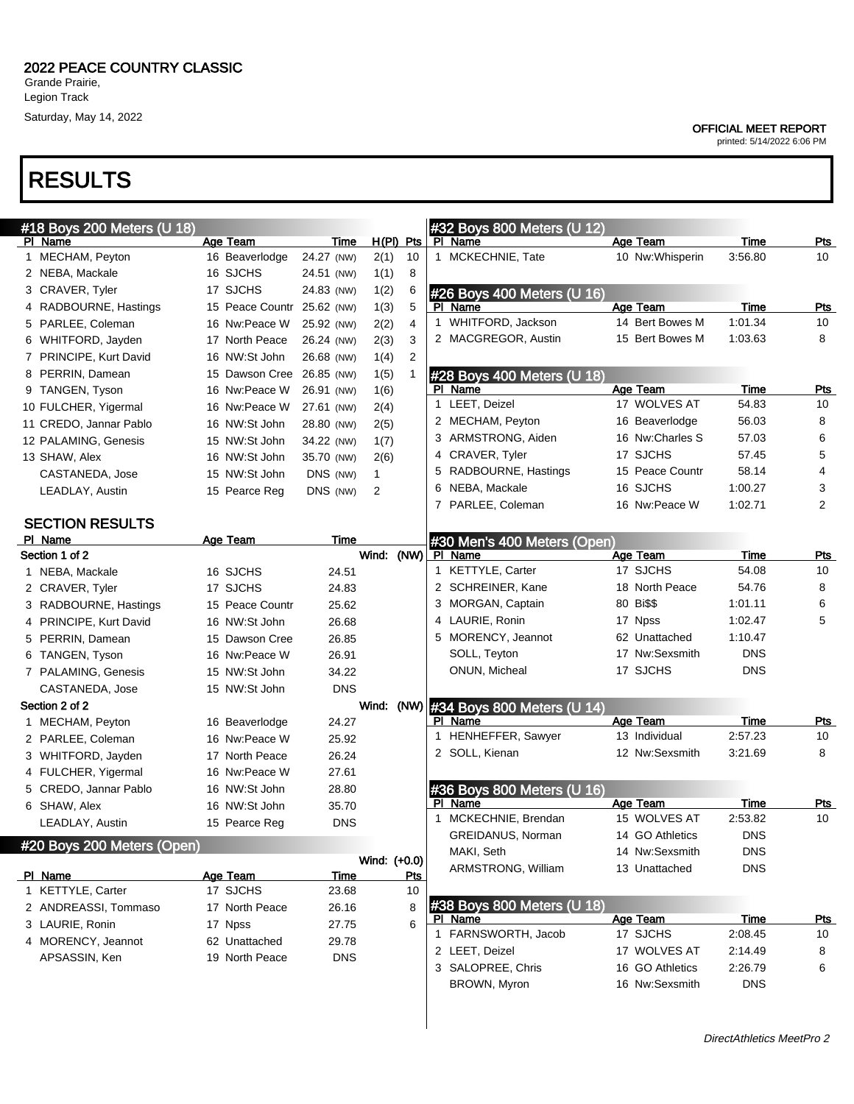Saturday, May 14, 2022

#### OFFICIAL MEET REPORT

printed: 5/14/2022 6:06 PM

### RESULTS

| #18 Boys 200 Meters (U 18) |                 |            |                |            | #32 Boys 800 Meters (U 12)  |                  |            |                |
|----------------------------|-----------------|------------|----------------|------------|-----------------------------|------------------|------------|----------------|
| PI Name                    | Age Team        | Time       | $H(PI)$ Pts    |            | PI Name                     | Age Team         | Time       | <u>Pts</u>     |
| 1 MECHAM, Peyton           | 16 Beaverlodge  | 24.27 (NW) | 2(1)           | 10         | 1 MCKECHNIE, Tate           | 10 Nw: Whisperin | 3:56.80    | 10             |
| 2 NEBA, Mackale            | 16 SJCHS        | 24.51 (NW) | 1(1)           | 8          |                             |                  |            |                |
| 3 CRAVER, Tyler            | 17 SJCHS        | 24.83 (NW) | 1(2)           | 6          | #26 Boys 400 Meters (U 16)  |                  |            |                |
| 4 RADBOURNE, Hastings      | 15 Peace Countr | 25.62 (NW) | 1(3)           | 5          | PI Name                     | Age Team         | Time       | Pts            |
| 5 PARLEE, Coleman          | 16 Nw:Peace W   | 25.92 (NW) | 2(2)           | 4          | 1 WHITFORD, Jackson         | 14 Bert Bowes M  | 1:01.34    | 10             |
| 6 WHITFORD, Jayden         | 17 North Peace  | 26.24 (NW) | 2(3)           | 3          | 2 MACGREGOR, Austin         | 15 Bert Bowes M  | 1:03.63    | 8              |
| 7 PRINCIPE, Kurt David     | 16 NW:St John   | 26.68 (NW) | 1(4)           | 2          |                             |                  |            |                |
| 8 PERRIN, Damean           | 15 Dawson Cree  | 26.85 (NW) | 1(5)           | 1          | #28 Boys 400 Meters (U 18)  |                  |            |                |
| 9 TANGEN, Tyson            | 16 Nw:Peace W   | 26.91 (NW) | 1(6)           |            | PI Name                     | Age Team         | Time       | Pts            |
| 10 FULCHER, Yigermal       | 16 Nw:Peace W   | 27.61 (NW) | 2(4)           |            | 1 LEET, Deizel              | 17 WOLVES AT     | 54.83      | 10             |
| 11 CREDO, Jannar Pablo     | 16 NW:St John   | 28.80 (NW) | 2(5)           |            | 2 MECHAM, Peyton            | 16 Beaverlodge   | 56.03      | 8              |
| 12 PALAMING, Genesis       | 15 NW:St John   | 34.22 (NW) | 1(7)           |            | 3 ARMSTRONG, Aiden          | 16 Nw:Charles S  | 57.03      | 6              |
| 13 SHAW, Alex              | 16 NW:St John   | 35.70 (NW) | 2(6)           |            | 4 CRAVER, Tyler             | 17 SJCHS         | 57.45      | 5              |
| CASTANEDA, Jose            | 15 NW:St John   | DNS (NW)   | $\mathbf{1}$   |            | RADBOURNE, Hastings<br>5    | 15 Peace Countr  | 58.14      | 4              |
| LEADLAY, Austin            | 15 Pearce Reg   | DNS (NW)   | $\overline{2}$ |            | NEBA, Mackale<br>6          | 16 SJCHS         | 1:00.27    | 3              |
|                            |                 |            |                |            | 7 PARLEE, Coleman           | 16 Nw:Peace W    | 1:02.71    | $\overline{2}$ |
| <b>SECTION RESULTS</b>     |                 |            |                |            |                             |                  |            |                |
| PI Name                    | Age Team        | Time       |                |            | #30 Men's 400 Meters (Open) |                  |            |                |
| Section 1 of 2             |                 |            | Wind: (NW)     |            | PI Name                     | Age Team         | Time       | <u>Pts</u>     |
| 1 NEBA, Mackale            | 16 SJCHS        | 24.51      |                |            | 1 KETTYLE, Carter           | 17 SJCHS         | 54.08      | 10             |
| 2 CRAVER, Tyler            | 17 SJCHS        | 24.83      |                |            | 2 SCHREINER, Kane           | 18 North Peace   | 54.76      | 8              |
| 3 RADBOURNE, Hastings      | 15 Peace Countr | 25.62      |                |            | MORGAN, Captain<br>3        | 80 Bi\$\$        | 1:01.11    | 6              |
| 4 PRINCIPE, Kurt David     | 16 NW:St John   | 26.68      |                |            | LAURIE, Ronin<br>4          | 17 Npss          | 1:02.47    | 5              |
| 5 PERRIN, Damean           | 15 Dawson Cree  | 26.85      |                |            | 5 MORENCY, Jeannot          | 62 Unattached    | 1:10.47    |                |
| 6 TANGEN, Tyson            | 16 Nw:Peace W   | 26.91      |                |            | SOLL, Teyton                | 17 Nw:Sexsmith   | <b>DNS</b> |                |
| 7 PALAMING, Genesis        | 15 NW:St John   | 34.22      |                |            | ONUN, Micheal               | 17 SJCHS         | <b>DNS</b> |                |
| CASTANEDA, Jose            | 15 NW:St John   | <b>DNS</b> |                |            |                             |                  |            |                |
| Section 2 of 2             |                 |            | Wind: (NW)     |            | #34 Boys 800 Meters (U 14)  |                  |            |                |
| 1 MECHAM, Peyton           | 16 Beaverlodge  | 24.27      |                |            | PI Name                     | Age Team         | Time       | <b>Pts</b>     |
| 2 PARLEE, Coleman          | 16 Nw:Peace W   | 25.92      |                |            | HENHEFFER, Sawyer<br>1      | 13 Individual    | 2:57.23    | 10             |
| 3 WHITFORD, Jayden         | 17 North Peace  | 26.24      |                |            | 2 SOLL, Kienan              | 12 Nw:Sexsmith   | 3:21.69    | 8              |
| 4 FULCHER, Yigermal        | 16 Nw:Peace W   | 27.61      |                |            |                             |                  |            |                |
| 5 CREDO, Jannar Pablo      | 16 NW:St John   | 28.80      |                |            | #36 Boys 800 Meters (U 16)  |                  |            |                |
| 6 SHAW, Alex               | 16 NW:St John   | 35.70      |                |            | PI Name                     | Age Team         | Time       | Pts            |
| LEADLAY, Austin            | 15 Pearce Reg   | <b>DNS</b> |                |            | 1 MCKECHNIE, Brendan        | 15 WOLVES AT     | 2:53.82    | 10             |
| #20 Boys 200 Meters (Open) |                 |            |                |            | GREIDANUS, Norman           | 14 GO Athletics  | <b>DNS</b> |                |
|                            |                 |            | Wind: (+0.0)   |            | MAKI, Seth                  | 14 Nw:Sexsmith   | <b>DNS</b> |                |
| PI Name                    | Age Team        | Time       |                | <u>Pts</u> | ARMSTRONG, William          | 13 Unattached    | <b>DNS</b> |                |
| 1 KETTYLE, Carter          | 17 SJCHS        | 23.68      |                | 10         |                             |                  |            |                |
| 2 ANDREASSI, Tommaso       | 17 North Peace  | 26.16      |                | 8          | #38 Boys 800 Meters (U 18)  |                  |            |                |
| 3 LAURIE, Ronin            | 17 Npss         | 27.75      |                | 6          | PI Name                     | Age Team         | Time       | <u>Pts</u>     |
| 4 MORENCY, Jeannot         | 62 Unattached   | 29.78      |                |            | 1 FARNSWORTH, Jacob         | 17 SJCHS         | 2:08.45    | 10             |
| APSASSIN, Ken              | 19 North Peace  | <b>DNS</b> |                |            | 2 LEET, Deizel              | 17 WOLVES AT     | 2:14.49    | 8              |
|                            |                 |            |                |            | 3 SALOPREE, Chris           | 16 GO Athletics  | 2:26.79    | 6              |
|                            |                 |            |                |            | BROWN, Myron                | 16 Nw:Sexsmith   | <b>DNS</b> |                |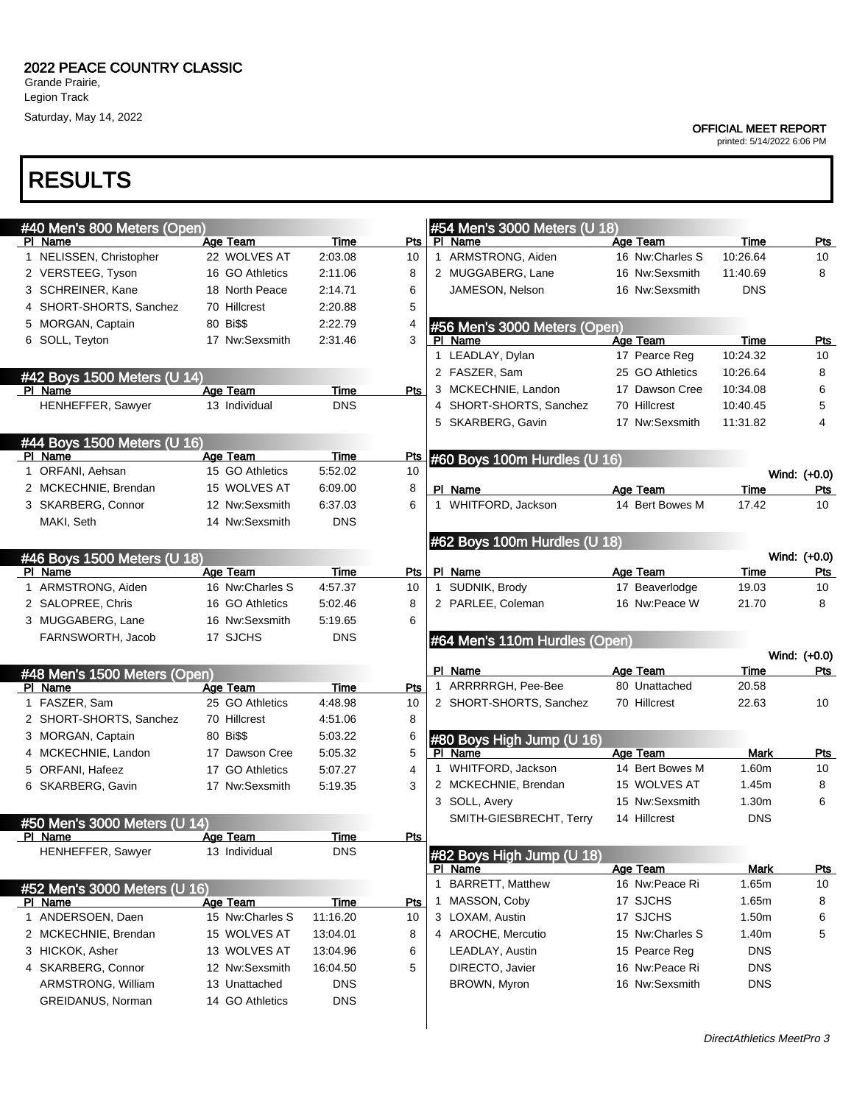Legion Track

### Saturday, May 14, 2022

#### OFFICIAL MEET REPORT

printed: 5/14/2022 6:06 PM

### RESULTS

| #40 Men's 800 Meters (Open)            |                 |             |            |              | #54 Men's 3000 Meters (U 18)  |                 |             |                     |
|----------------------------------------|-----------------|-------------|------------|--------------|-------------------------------|-----------------|-------------|---------------------|
| PI Name                                | Age Team        | Time        | Pts l      |              | PI Name                       | Age Team        | Time        | Pts                 |
| 1 NELISSEN, Christopher                | 22 WOLVES AT    | 2:03.08     | 10         |              | 1 ARMSTRONG, Aiden            | 16 Nw:Charles S | 10:26.64    | 10                  |
| 2 VERSTEEG, Tyson                      | 16 GO Athletics | 2:11.06     | 8          |              | 2 MUGGABERG, Lane             | 16 Nw:Sexsmith  | 11:40.69    | 8                   |
| 3 SCHREINER, Kane                      | 18 North Peace  | 2:14.71     | 6          |              | JAMESON, Nelson               | 16 Nw:Sexsmith  | <b>DNS</b>  |                     |
| 4 SHORT-SHORTS, Sanchez                | 70 Hillcrest    | 2:20.88     | 5          |              |                               |                 |             |                     |
| 5 MORGAN, Captain                      | 80 Bi\$\$       | 2:22.79     | 4          |              | #56 Men's 3000 Meters (Open)  |                 |             |                     |
| 6 SOLL, Teyton                         | 17 Nw:Sexsmith  | 2:31.46     | 3          |              | PI Name                       | Age Team        | Time        | <b>Pts</b>          |
|                                        |                 |             |            |              | 1 LEADLAY, Dylan              | 17 Pearce Reg   | 10:24.32    | 10                  |
| #42 Boys 1500 Meters (U 14)            |                 |             |            |              | 2 FASZER, Sam                 | 25 GO Athletics | 10:26.64    | 8                   |
| PI Name                                | <b>Age Team</b> | Time        | Pts        |              | 3 MCKECHNIE, Landon           | 17 Dawson Cree  | 10:34.08    | 6                   |
| HENHEFFER, Sawyer                      | 13 Individual   | <b>DNS</b>  |            |              | 4 SHORT-SHORTS, Sanchez       | 70 Hillcrest    | 10:40.45    | 5                   |
|                                        |                 |             |            |              | 5 SKARBERG, Gavin             | 17 Nw:Sexsmith  | 11:31.82    | 4                   |
|                                        |                 |             |            |              |                               |                 |             |                     |
| #44 Boys 1500 Meters (U 16)<br>PI Name | Age Team        | Time        | Pts        |              |                               |                 |             |                     |
| 1 ORFANI, Aehsan                       | 15 GO Athletics | 5:52.02     | 10         |              | #60 Boys 100m Hurdles (U 16)  |                 |             | Wind: (+0.0)        |
| 2 MCKECHNIE, Brendan                   | 15 WOLVES AT    | 6:09.00     | 8          |              | PI Name                       | Age Team        | Time        | Pts                 |
| 3 SKARBERG, Connor                     | 12 Nw:Sexsmith  | 6:37.03     | 6          |              | 1 WHITFORD, Jackson           | 14 Bert Bowes M | 17.42       | 10                  |
| MAKI, Seth                             | 14 Nw:Sexsmith  | <b>DNS</b>  |            |              |                               |                 |             |                     |
|                                        |                 |             |            |              |                               |                 |             |                     |
|                                        |                 |             |            |              | #62 Boys 100m Hurdles (U 18)  |                 |             |                     |
| #46 Boys 1500 Meters (U 18)<br>PI Name | Age Team        | Time        | Pts        |              | PI Name                       | Age Team        | Time        | Wind: (+0.0)<br>Pts |
| 1 ARMSTRONG, Aiden                     | 16 Nw:Charles S | 4:57.37     | 10         |              | 1 SUDNIK, Brody               | 17 Beaverlodge  | 19.03       | 10                  |
| 2 SALOPREE, Chris                      | 16 GO Athletics | 5:02.46     | 8          |              | 2 PARLEE, Coleman             | 16 Nw:Peace W   | 21.70       | 8                   |
| 3 MUGGABERG, Lane                      | 16 Nw:Sexsmith  | 5:19.65     | 6          |              |                               |                 |             |                     |
|                                        |                 |             |            |              |                               |                 |             |                     |
|                                        |                 |             |            |              |                               |                 |             |                     |
| FARNSWORTH, Jacob                      | 17 SJCHS        | <b>DNS</b>  |            |              | #64 Men's 110m Hurdles (Open) |                 |             |                     |
|                                        |                 |             |            |              |                               |                 |             | Wind: (+0.0)        |
| #48 Men's 1500 Meters (Open)           |                 |             |            |              | PI_Name                       | Age Team        | Time        | <b>Pts</b>          |
| PI Name                                | Age Team        | Time        | Pts        |              | 1 ARRRRRGH, Pee-Bee           | 80 Unattached   | 20.58       |                     |
| 1 FASZER, Sam                          | 25 GO Athletics | 4:48.98     | 10         |              | 2 SHORT-SHORTS, Sanchez       | 70 Hillcrest    | 22.63       | 10                  |
| 2 SHORT-SHORTS, Sanchez                | 70 Hillcrest    | 4:51.06     | 8          |              |                               |                 |             |                     |
| 3 MORGAN, Captain                      | 80 Bi\$\$       | 5:03.22     | 6          |              | #80 Boys High Jump (U 16)     |                 |             |                     |
| 4 MCKECHNIE, Landon                    | 17 Dawson Cree  | 5:05.32     | 5          |              | PI Name                       | Age Team        | Mark        | Pts                 |
| 5 ORFANI, Hafeez                       | 17 GO Athletics | 5:07.27     | 4          | $\mathbf{1}$ | WHITFORD, Jackson             | 14 Bert Bowes M | 1.60m       | 10                  |
| 6 SKARBERG, Gavin                      | 17 Nw:Sexsmith  | 5:19.35     | 3          |              | 2 MCKECHNIE, Brendan          | 15 WOLVES AT    | 1.45m       | 8                   |
|                                        |                 |             |            |              | 3 SOLL, Avery                 | 15 Nw:Sexsmith  | 1.30m       | 6                   |
| #50 Men's 3000 Meters (U 14)           |                 |             |            |              | SMITH-GIESBRECHT, Terry       | 14 Hillcrest    | <b>DNS</b>  |                     |
| <u>PI Name</u>                         | <b>Age Team</b> | <u>Time</u> | <u>Pts</u> |              |                               |                 |             |                     |
| HENHEFFER, Sawyer                      | 13 Individual   | <b>DNS</b>  |            |              | #82 Boys High Jump (U 18)     |                 |             |                     |
|                                        |                 |             |            |              | PI Name                       | Age Team        | <b>Mark</b> | <u>Pts</u>          |
| #52 Men's 3000 Meters (U 16)           |                 |             |            | 1            | <b>BARRETT, Matthew</b>       | 16 Nw:Peace Ri  | 1.65m       | 10                  |
| PI Name                                | Age Team        | Time        | <u>Pts</u> | 1            | MASSON, Coby                  | 17 SJCHS        | 1.65m       | 8                   |
| 1 ANDERSOEN, Daen                      | 15 Nw:Charles S | 11:16.20    | 10         |              | 3 LOXAM, Austin               | 17 SJCHS        | 1.50m       | 6                   |
| 2 MCKECHNIE, Brendan                   | 15 WOLVES AT    | 13:04.01    | 8          |              | 4 AROCHE, Mercutio            | 15 Nw:Charles S | 1.40m       | 5                   |
| 3 HICKOK, Asher                        | 13 WOLVES AT    | 13:04.96    | 6          |              | LEADLAY, Austin               | 15 Pearce Reg   | <b>DNS</b>  |                     |
| 4 SKARBERG, Connor                     | 12 Nw:Sexsmith  | 16:04.50    | 5          |              | DIRECTO, Javier               | 16 Nw:Peace Ri  | <b>DNS</b>  |                     |
| ARMSTRONG, William                     | 13 Unattached   | <b>DNS</b>  |            |              | BROWN, Myron                  | 16 Nw:Sexsmith  | <b>DNS</b>  |                     |
| GREIDANUS, Norman                      | 14 GO Athletics | <b>DNS</b>  |            |              |                               |                 |             |                     |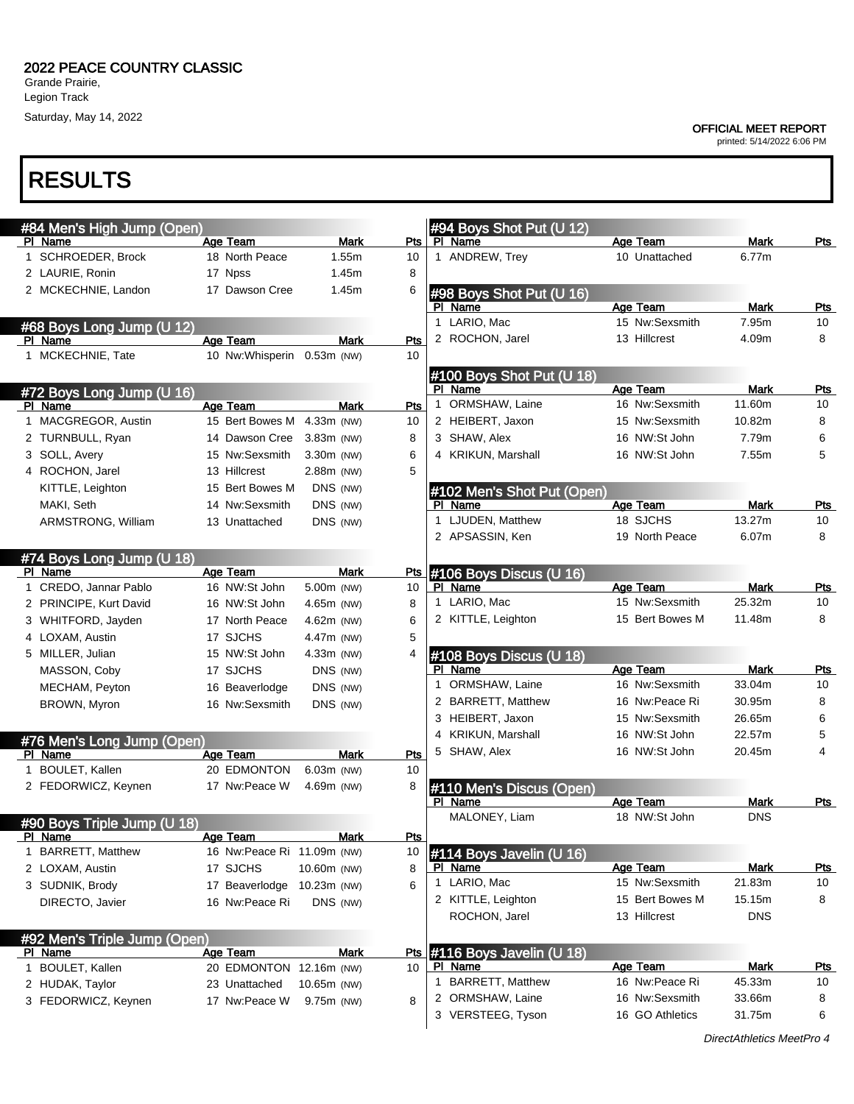Grande Prairie, Legion Track Saturday, May 14, 2022

## RESULTS

#### OFFICIAL MEET REPORT

| #84 Men's High Jump (Open)<br>PI Name | Age Team                    | <b>Mark</b>  | Pts        | #94 Boys Shot Put (U 12)<br>PI Name  | Age Team        |               | Pts        |
|---------------------------------------|-----------------------------|--------------|------------|--------------------------------------|-----------------|---------------|------------|
| 1 SCHROEDER, Brock                    | 18 North Peace              | 1.55m        | 10         | 1 ANDREW, Trey                       | 10 Unattached   | Mark<br>6.77m |            |
| 2 LAURIE, Ronin                       | 17 Npss                     | 1.45m        | 8          |                                      |                 |               |            |
| 2 MCKECHNIE, Landon                   | 17 Dawson Cree              | 1.45m        | 6          |                                      |                 |               |            |
|                                       |                             |              |            | #98 Boys Shot Put (U 16)<br>PI Name  | Age Team        | Mark          | Pts        |
|                                       |                             |              |            | 1 LARIO, Mac                         | 15 Nw:Sexsmith  | 7.95m         | 10         |
| #68 Boys Long Jump (U 12)<br>PI Name  | Age Team                    | <b>Mark</b>  | Pts        | 2 ROCHON, Jarel                      | 13 Hillcrest    | 4.09m         | 8          |
| 1 MCKECHNIE, Tate                     | 10 Nw: Whisperin 0.53m (NW) |              | 10         |                                      |                 |               |            |
|                                       |                             |              |            |                                      |                 |               |            |
|                                       |                             |              |            | #100 Boys Shot Put (U 18)<br>PI Name | Age Team        | Mark          |            |
| #72 Boys Long Jump (U 16)<br>PI Name  | Age Team                    | Mark         | Pts        | 1 ORMSHAW, Laine                     | 16 Nw:Sexsmith  | 11.60m        | Pts<br>10  |
| 1 MACGREGOR, Austin                   | 15 Bert Bowes M             | 4.33m (NW)   | 10         | 2 HEIBERT, Jaxon                     | 15 Nw:Sexsmith  | 10.82m        | 8          |
| 2 TURNBULL, Ryan                      | 14 Dawson Cree              | $3.83m$ (NW) | 8          | 3 SHAW, Alex                         | 16 NW:St John   | 7.79m         | 6          |
| 3 SOLL, Avery                         | 15 Nw:Sexsmith              |              | 6          | 4 KRIKUN, Marshall                   | 16 NW:St John   | 7.55m         | 5          |
|                                       |                             | 3.30m (NW)   |            |                                      |                 |               |            |
| 4 ROCHON, Jarel                       | 13 Hillcrest                | 2.88m (NW)   | 5          |                                      |                 |               |            |
| KITTLE, Leighton                      | 15 Bert Bowes M             | DNS (NW)     |            | #102 Men's Shot Put (Open)           |                 |               |            |
| MAKI, Seth                            | 14 Nw:Sexsmith              | DNS (NW)     |            | PI Name                              | Age Team        | Mark          | $P$ ts     |
| ARMSTRONG, William                    | 13 Unattached               | DNS (NW)     |            | 1 LJUDEN, Matthew                    | 18 SJCHS        | 13.27m        | 10         |
|                                       |                             |              |            | 2 APSASSIN, Ken                      | 19 North Peace  | 6.07m         | 8          |
| #74 Boys Long Jump (U 18)             |                             |              |            |                                      |                 |               |            |
| PI Name                               | <b>Age Team</b>             | <b>Mark</b>  | <u>Pts</u> | #106 Boys Discus (U 16)              |                 |               |            |
| 1 CREDO, Jannar Pablo                 | 16 NW:St John               | 5.00m (NW)   | 10         | PI Name                              | Age Team        | Mark          | Pts        |
| 2 PRINCIPE, Kurt David                | 16 NW:St John               | 4.65m (NW)   | 8          | 1 LARIO, Mac                         | 15 Nw:Sexsmith  | 25.32m        | 10         |
| 3 WHITFORD, Jayden                    | 17 North Peace              | 4.62m (NW)   | 6          | 2 KITTLE, Leighton                   | 15 Bert Bowes M | 11.48m        | 8          |
| 4 LOXAM, Austin                       | 17 SJCHS                    | 4.47m (NW)   | 5          |                                      |                 |               |            |
| 5 MILLER, Julian                      | 15 NW:St John               | $4.33m$ (NW) | 4          | #108 Boys Discus (U 18)              |                 |               |            |
| MASSON, Coby                          | 17 SJCHS                    | DNS (NW)     |            | PI Name                              | Age Team        | Mark          | Pts        |
| MECHAM, Peyton                        | 16 Beaverlodge              | DNS (NW)     |            | 1 ORMSHAW, Laine                     | 16 Nw:Sexsmith  | 33.04m        | 10         |
| BROWN, Myron                          | 16 Nw:Sexsmith              | DNS (NW)     |            | 2 BARRETT, Matthew                   | 16 Nw:Peace Ri  | 30.95m        | 8          |
|                                       |                             |              |            | 3 HEIBERT, Jaxon                     | 15 Nw:Sexsmith  | 26.65m        | 6          |
| #76 Men's Long Jump (Open)            |                             |              |            | 4 KRIKUN, Marshall                   | 16 NW:St John   | 22.57m        | 5          |
| PI Name                               | Age Team                    | <b>Mark</b>  | Pts        | 5 SHAW, Alex                         | 16 NW:St John   | 20.45m        | 4          |
| 1 BOULET, Kallen                      | 20 EDMONTON                 | 6.03m (NW)   | 10         |                                      |                 |               |            |
| 2 FEDORWICZ, Keynen                   | 17 Nw:Peace W               | 4.69m (NW)   | 8          | #110 Men's Discus (Open)             |                 |               |            |
|                                       |                             |              |            | PI Name                              | Age Team        | Mark          | Pts        |
| #90 Boys Triple Jump (U 18)           |                             |              |            | MALONEY, Liam                        | 18 NW:St John   | <b>DNS</b>    |            |
| PI Name                               | <b>Age Team</b>             | <b>Mark</b>  | Pts        |                                      |                 |               |            |
| 1 BARRETT, Matthew                    | 16 Nw:Peace Ri 11.09m (NW)  |              | 10         | #114 Boys Javelin (U 16)             |                 |               |            |
| 2 LOXAM, Austin                       | 17 SJCHS                    | 10.60m (NW)  | 8          | PI Name                              | Age Team        | Mark          | <u>Pts</u> |
| 3 SUDNIK, Brody                       | 17 Beaverlodge              | 10.23m (NW)  | 6          | 1 LARIO, Mac                         | 15 Nw:Sexsmith  | 21.83m        | 10         |
| DIRECTO, Javier                       | 16 Nw:Peace Ri              | DNS (NW)     |            | 2 KITTLE, Leighton                   | 15 Bert Bowes M | 15.15m        | 8          |
|                                       |                             |              |            | ROCHON, Jarel                        | 13 Hillcrest    | <b>DNS</b>    |            |
| #92 Men's Triple Jump (Open)          |                             |              |            |                                      |                 |               |            |
| PI Name                               | Age Team                    | <b>Mark</b>  | Pts        | #116 Boys Javelin (U 18)             |                 |               |            |
| 1 BOULET, Kallen                      | 20 EDMONTON 12.16m (NW)     |              | 10         | <b>PI Name</b>                       | Age Team        | Mark          | <u>Pts</u> |
| 2 HUDAK, Taylor                       | 23 Unattached               | 10.65m (NW)  |            | 1 BARRETT, Matthew                   | 16 Nw:Peace Ri  | 45.33m        | 10         |
| 3 FEDORWICZ, Keynen                   | 17 Nw:Peace W               | 9.75m (NW)   | 8          | 2 ORMSHAW, Laine                     | 16 Nw:Sexsmith  | 33.66m        | 8          |
|                                       |                             |              |            | 3 VERSTEEG, Tyson                    | 16 GO Athletics | 31.75m        | 6          |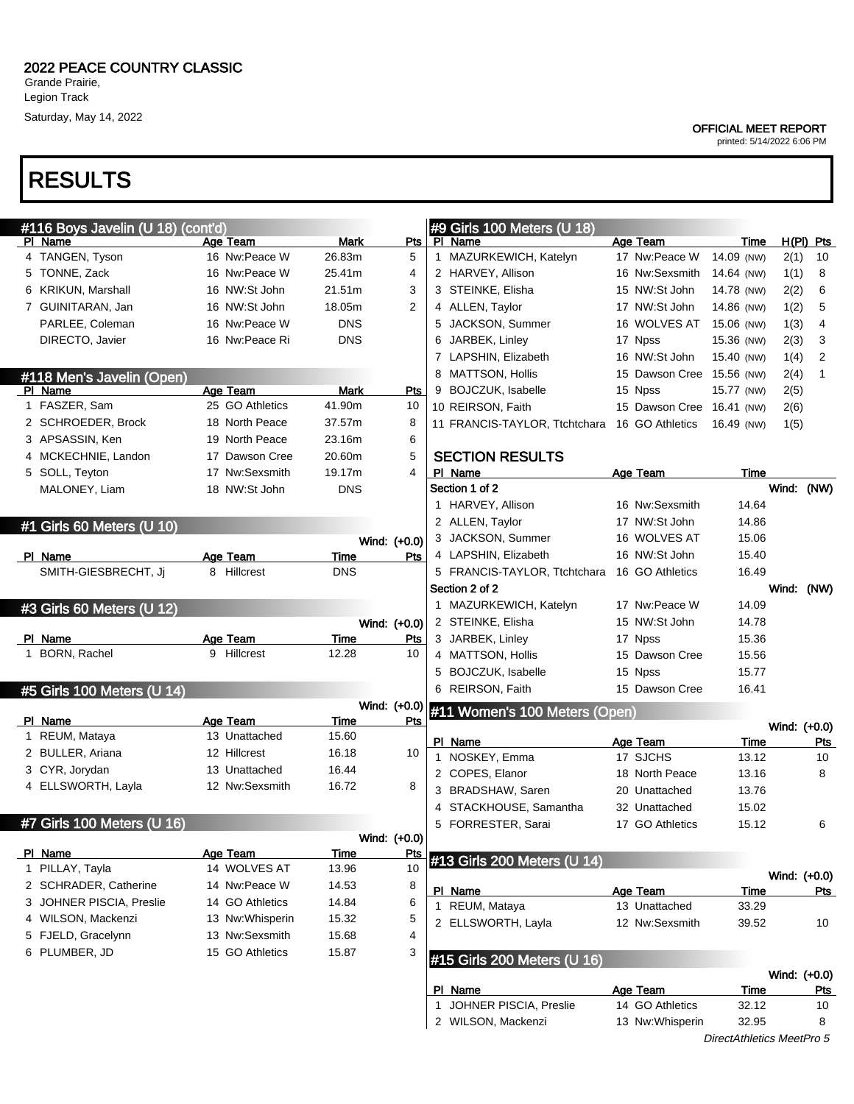Legion Track Saturday, May 14, 2022

## RESULTS

| <b>OFFICIAL MEET REPORT</b> |  |  |
|-----------------------------|--|--|
|-----------------------------|--|--|

| #116 Boys Javelin (U 18) (cont'd) |                                 |                      |                  | #9 Girls 100 Meters (U 18) |                               |  |                           |                           |              |              |
|-----------------------------------|---------------------------------|----------------------|------------------|----------------------------|-------------------------------|--|---------------------------|---------------------------|--------------|--------------|
| PI Name                           | Age Team                        | <b>Mark</b>          | $P$ ts           |                            | PI Name                       |  | Age Team                  | Time                      |              | $H(PI)$ Pts  |
| 4 TANGEN, Tyson                   | 16 Nw:Peace W                   | 26.83m               | 5                |                            | 1 MAZURKEWICH, Katelyn        |  | 17 Nw:Peace W             | 14.09 (NW)                | 2(1)         | 10           |
| 5 TONNE, Zack                     | 16 Nw:Peace W                   | 25.41m               | 4                |                            | 2 HARVEY, Allison             |  | 16 Nw:Sexsmith            | 14.64 (NW)                | 1(1)         | 8            |
| 6 KRIKUN, Marshall                | 16 NW:St John                   | 21.51m               | 3                |                            | 3 STEINKE, Elisha             |  | 15 NW:St John             | 14.78 (NW)                | 2(2)         | 6            |
| 7 GUINITARAN, Jan                 | 16 NW:St John                   | 18.05m               | $\overline{2}$   |                            | 4 ALLEN, Taylor               |  | 17 NW:St John             | 14.86 (NW)                | 1(2)         | 5            |
| PARLEE, Coleman                   | 16 Nw:Peace W                   | <b>DNS</b>           |                  | 5                          | JACKSON, Summer               |  | 16 WOLVES AT              | 15.06 (NW)                | 1(3)         | 4            |
| DIRECTO, Javier                   | 16 Nw:Peace Ri                  | <b>DNS</b>           |                  | 6                          | JARBEK, Linley                |  | 17 Npss                   | 15.36 (NW)                | 2(3)         | 3            |
|                                   |                                 |                      |                  |                            | 7 LAPSHIN, Elizabeth          |  | 16 NW:St John             | 15.40 (NW)                | 1(4)         | 2            |
| #118 Men's Javelin (Open)         |                                 |                      |                  |                            | 8 MATTSON, Hollis             |  | 15 Dawson Cree 15.56 (NW) |                           | 2(4)         | 1            |
| PI Name                           | Age Team                        | <b>Mark</b>          | Pts              |                            | 9 BOJCZUK, Isabelle           |  | 15 Npss                   | 15.77 (NW)                | 2(5)         |              |
| 1 FASZER, Sam                     | 25 GO Athletics                 | 41.90m               | 10               |                            | 10 REIRSON, Faith             |  | 15 Dawson Cree 16.41 (NW) |                           | 2(6)         |              |
| 2 SCHROEDER, Brock                | 18 North Peace                  | 37.57m               | 8                |                            | 11 FRANCIS-TAYLOR, Ttchtchara |  | 16 GO Athletics           | 16.49 (NW)                | 1(5)         |              |
| 3 APSASSIN, Ken                   | 19 North Peace                  | 23.16m               | 6                |                            |                               |  |                           |                           |              |              |
| 4 MCKECHNIE, Landon               | 17 Dawson Cree                  | 20.60m               | 5                |                            | <b>SECTION RESULTS</b>        |  |                           |                           |              |              |
| 5 SOLL, Teyton                    | 17 Nw:Sexsmith                  | 19.17m               | 4                |                            | PI Name                       |  | <b>Age Team</b>           | Time                      |              |              |
| MALONEY, Liam                     | 18 NW:St John                   | <b>DNS</b>           |                  |                            | Section 1 of 2                |  |                           |                           |              | Wind: (NW)   |
|                                   |                                 |                      |                  |                            | 1 HARVEY, Allison             |  | 16 Nw:Sexsmith            | 14.64                     |              |              |
| #1 Girls 60 Meters (U 10)         |                                 |                      |                  |                            | 2 ALLEN, Taylor               |  | 17 NW:St John             | 14.86                     |              |              |
|                                   |                                 |                      | Wind: (+0.0)     |                            | 3 JACKSON, Summer             |  | 16 WOLVES AT              | 15.06                     |              |              |
| PI Name                           | Age Team                        | Time                 | Pts              |                            | 4 LAPSHIN, Elizabeth          |  | 16 NW:St John             | 15.40                     |              |              |
| SMITH-GIESBRECHT, Ji              | 8 Hillcrest                     | <b>DNS</b>           |                  |                            | 5 FRANCIS-TAYLOR, Ttchtchara  |  | 16 GO Athletics           | 16.49                     |              |              |
|                                   |                                 |                      |                  |                            | Section 2 of 2                |  |                           |                           | Wind: (NW)   |              |
| #3 Girls 60 Meters (U 12)         |                                 |                      |                  |                            | 1 MAZURKEWICH, Katelyn        |  | 17 Nw:Peace W             | 14.09                     |              |              |
|                                   |                                 |                      | Wind: (+0.0)     |                            | 2 STEINKE, Elisha             |  | 15 NW:St John             | 14.78                     |              |              |
| PI Name                           | Age Team                        | Time                 | Pts              |                            | 3 JARBEK, Linley              |  | 17 Npss                   | 15.36                     |              |              |
| 1 BORN, Rachel                    | 9 Hillcrest                     | 12.28                | 10               |                            | 4 MATTSON, Hollis             |  | 15 Dawson Cree            | 15.56                     |              |              |
|                                   |                                 |                      |                  |                            | 5 BOJCZUK, Isabelle           |  | 15 Npss                   | 15.77                     |              |              |
| #5 Girls 100 Meters (U 14)        |                                 |                      |                  |                            | 6 REIRSON, Faith              |  | 15 Dawson Cree            | 16.41                     |              |              |
|                                   |                                 |                      | Wind: (+0.0)     |                            | #11 Women's 100 Meters (Open) |  |                           |                           |              |              |
| PI Name                           | Age Team                        | Time                 | Pts              |                            |                               |  |                           |                           | Wind: (+0.0) |              |
| 1 REUM, Mataya                    | 13 Unattached                   | 15.60                |                  |                            | PI Name                       |  | Age Team                  | Time                      |              | <b>Pts</b>   |
| 2 BULLER, Ariana                  | 12 Hillcrest                    | 16.18                | 10               |                            | 1 NOSKEY, Emma                |  | 17 SJCHS                  | 13.12                     |              | 10           |
| 3 CYR, Jorydan                    | 13 Unattached                   | 16.44                |                  |                            | 2 COPES, Elanor               |  | 18 North Peace            | 13.16                     |              | 8            |
| 4 ELLSWORTH, Layla                | 12 Nw:Sexsmith                  | 16.72                | 8                |                            | 3 BRADSHAW, Saren             |  | 20 Unattached             | 13.76                     |              |              |
|                                   |                                 |                      |                  | 4                          | STACKHOUSE, Samantha          |  | 32 Unattached             | 15.02                     |              |              |
| #7 Girls 100 Meters (U 16)        |                                 |                      |                  |                            | 5 FORRESTER, Sarai            |  | 17 GO Athletics           | 15.12                     |              | 6            |
|                                   |                                 |                      | Wind: (+0.0)     |                            |                               |  |                           |                           |              |              |
| PI Name<br>1 PILLAY, Tayla        | <b>Age Team</b><br>14 WOLVES AT | <u>Time</u><br>13.96 | <u>Pts</u><br>10 |                            | #13 Girls 200 Meters (U 14)   |  |                           |                           |              |              |
| 2 SCHRADER, Catherine             | 14 Nw:Peace W                   | 14.53                | 8                |                            |                               |  |                           |                           |              | Wind: (+0.0) |
| 3 JOHNER PISCIA, Preslie          | 14 GO Athletics                 |                      |                  |                            | PI Name                       |  | Age Team                  | Time                      |              | <u>Pts</u>   |
| 4 WILSON, Mackenzi                | 13 Nw: Whisperin                | 14.84                | 6                |                            | 1 REUM, Mataya                |  | 13 Unattached             | 33.29                     |              |              |
| 5 FJELD, Gracelynn                | 13 Nw:Sexsmith                  | 15.32                | 5                |                            | 2 ELLSWORTH, Layla            |  | 12 Nw:Sexsmith            | 39.52                     |              | 10           |
|                                   |                                 | 15.68                | 4                |                            |                               |  |                           |                           |              |              |
| 6 PLUMBER, JD                     | 15 GO Athletics                 | 15.87                | 3                |                            | #15 Girls 200 Meters (U 16)   |  |                           |                           |              |              |
|                                   |                                 |                      |                  |                            |                               |  |                           |                           | Wind: (+0.0) |              |
|                                   |                                 |                      |                  |                            | PI Name                       |  | Age Team                  | Time                      |              | <u>Pts</u>   |
|                                   |                                 |                      |                  |                            | 1 JOHNER PISCIA, Preslie      |  | 14 GO Athletics           | 32.12                     |              | 10           |
|                                   |                                 |                      |                  |                            | 2 WILSON, Mackenzi            |  | 13 Nw: Whisperin          | 32.95                     |              | 8            |
|                                   |                                 |                      |                  |                            |                               |  |                           | DirectAthletics MeetPro 5 |              |              |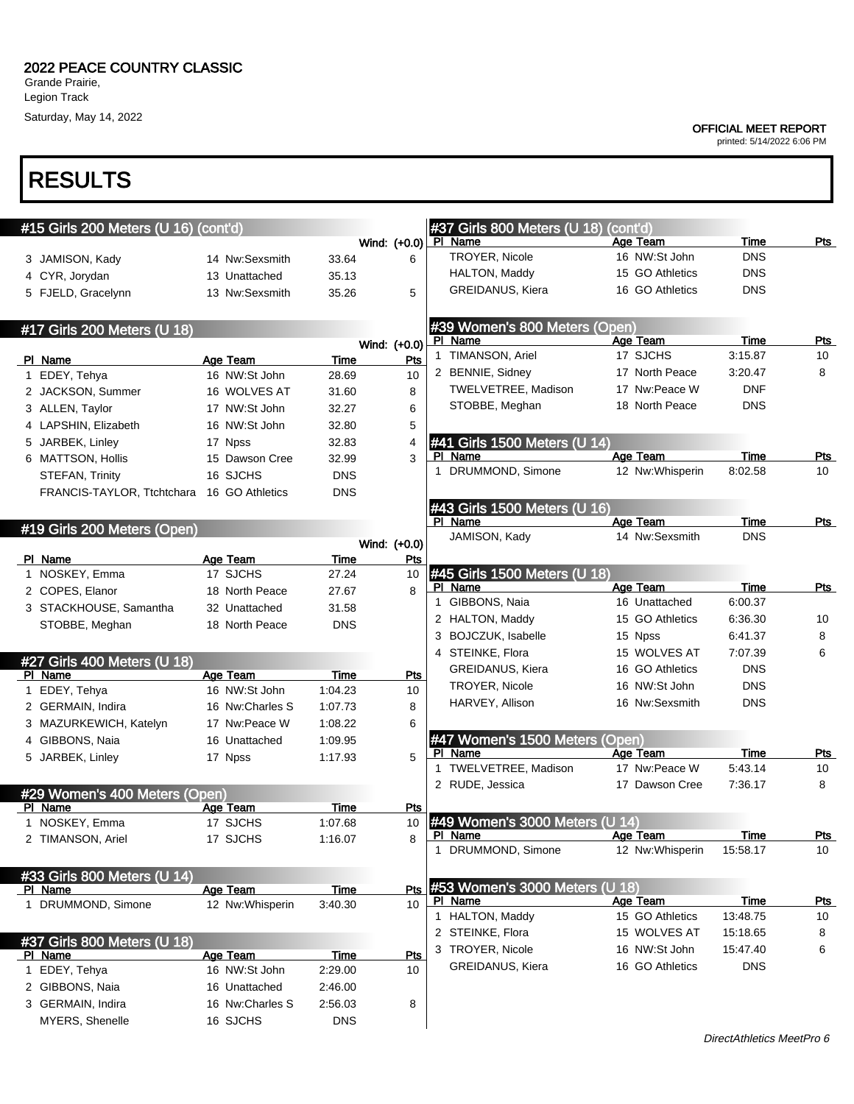### 2022 PEACE COUNTRY CLASSIC

Grande Prairie, Legion Track Saturday, May 14, 2022

# RESULTS

| #15 Girls 200 Meters (U 16) (cont'd) |                                 |                 |              | #37 Girls 800 Meters (U 18)               | (cont'd) |                                  |                    | Pts        |
|--------------------------------------|---------------------------------|-----------------|--------------|-------------------------------------------|----------|----------------------------------|--------------------|------------|
|                                      |                                 |                 | Wind: (+0.0) | PI Name<br>TROYER, Nicole                 |          | Age Team<br>16 NW:St John        | Time<br><b>DNS</b> |            |
| 3 JAMISON, Kady                      | 14 Nw:Sexsmith                  | 33.64           | 6            | HALTON, Maddy                             |          | 15 GO Athletics                  | <b>DNS</b>         |            |
| 4 CYR, Jorydan                       | 13 Unattached<br>13 Nw:Sexsmith | 35.13           |              | <b>GREIDANUS, Kiera</b>                   |          | 16 GO Athletics                  | <b>DNS</b>         |            |
| 5 FJELD, Gracelynn                   |                                 | 35.26           | 5            |                                           |          |                                  |                    |            |
| #17 Girls 200 Meters (U 18)          |                                 |                 |              | #39 Women's 800 Meters (Open)             |          |                                  |                    |            |
|                                      |                                 |                 | Wind: (+0.0) | PI Name                                   |          | Age Team                         | Time               | Pts        |
| PI Name                              | Age Team                        | Time            | Pts          | 1 TIMANSON, Ariel                         |          | 17 SJCHS                         | 3:15.87            | 10         |
| 1 EDEY, Tehya                        | 16 NW:St John                   | 28.69           | 10           | 2 BENNIE, Sidney                          |          | 17 North Peace                   | 3:20.47            | 8          |
| 2 JACKSON, Summer                    | 16 WOLVES AT                    | 31.60           | 8            | <b>TWELVETREE, Madison</b>                |          | 17 Nw:Peace W                    | <b>DNF</b>         |            |
| 3 ALLEN, Taylor                      | 17 NW:St John                   | 32.27           | 6            | STOBBE, Meghan                            |          | 18 North Peace                   | <b>DNS</b>         |            |
| 4 LAPSHIN, Elizabeth                 | 16 NW:St John                   | 32.80           | 5            |                                           |          |                                  |                    |            |
| 5 JARBEK, Linley                     | 17 Npss                         | 32.83           | 4            | #41 Girls 1500 Meters (U 14)              |          |                                  |                    |            |
| 6 MATTSON, Hollis                    | 15 Dawson Cree                  | 32.99           | 3            | PI Name                                   |          | Age Team                         | Time               | Pts        |
| STEFAN, Trinity                      | 16 SJCHS                        | <b>DNS</b>      |              | 1 DRUMMOND, Simone                        |          | 12 Nw:Whisperin                  | 8:02.58            | 10         |
| FRANCIS-TAYLOR, Ttchtchara           | 16 GO Athletics                 | <b>DNS</b>      |              |                                           |          |                                  |                    |            |
|                                      |                                 |                 |              | #43 Girls 1500 Meters (U 16)              |          |                                  |                    |            |
| #19 Girls 200 Meters (Open)          |                                 |                 |              | PI Name                                   |          | Age Team                         | Time               | Pts        |
|                                      |                                 |                 | Wind: (+0.0) | JAMISON, Kady                             |          | 14 Nw:Sexsmith                   | <b>DNS</b>         |            |
| PI Name                              | Age Team                        | Time            | Pts          |                                           |          |                                  |                    |            |
| 1 NOSKEY, Emma                       | 17 SJCHS                        | 27.24           | 10           | #45 Girls 1500 Meters (U 18)              |          |                                  |                    |            |
| 2 COPES, Elanor                      | 18 North Peace                  | 27.67           | 8            | PI Name                                   |          | Age Team                         | Time               | Pts        |
| 3 STACKHOUSE, Samantha               | 32 Unattached                   | 31.58           |              | 1 GIBBONS, Naia                           |          | 16 Unattached<br>15 GO Athletics | 6:00.37            |            |
| STOBBE, Meghan                       | 18 North Peace                  | <b>DNS</b>      |              | 2 HALTON, Maddy                           |          |                                  | 6:36.30            | 10         |
|                                      |                                 |                 |              | 3 BOJCZUK, Isabelle<br>4 STEINKE, Flora   |          | 15 Npss<br>15 WOLVES AT          | 6:41.37<br>7:07.39 | 8<br>6     |
| #27 Girls 400 Meters (U 18)          |                                 |                 |              | <b>GREIDANUS, Kiera</b>                   |          | 16 GO Athletics                  | <b>DNS</b>         |            |
| PI Name                              | <b>Age Team</b>                 | Time            | Pts          | TROYER, Nicole                            |          | 16 NW:St John                    | <b>DNS</b>         |            |
| 1 EDEY, Tehya                        | 16 NW:St John                   | 1:04.23         | 10           | HARVEY, Allison                           |          | 16 Nw:Sexsmith                   | <b>DNS</b>         |            |
| 2 GERMAIN, Indira                    | 16 Nw:Charles S                 | 1:07.73         | 8            |                                           |          |                                  |                    |            |
| 3 MAZURKEWICH, Katelyn               | 17 Nw:Peace W                   | 1:08.22         | 6            |                                           |          |                                  |                    |            |
| 4 GIBBONS, Naia                      | 16 Unattached                   | 1:09.95         |              | #47 Women's 1500 Meters (Open)<br>PI Name |          | Age Team                         | Time               | Pts        |
| 5 JARBEK, Linley                     | 17 Npss                         | 1:17.93         | 5            | 1 TWELVETREE, Madison                     |          | 17 Nw:Peace W                    | 5:43.14            | 10         |
|                                      |                                 |                 |              | 2 RUDE, Jessica                           |          | 17 Dawson Cree                   | 7:36.17            | 8          |
| #29 Women's 400 Meters (Open)        |                                 |                 |              |                                           |          |                                  |                    |            |
| PI Name<br>1 NOSKEY, Emma            | Age Team<br>17 SJCHS            | Time<br>1:07.68 | Pts<br>10    | #49 Women's 3000 Meters (U 14)            |          |                                  |                    |            |
|                                      | 17 SJCHS                        | 1:16.07         | 8            | <u>PI Name</u>                            |          | <u>Age Team</u>                  | <u>Time</u>        | <u>Pts</u> |
| 2 TIMANSON, Ariel                    |                                 |                 |              | 1 DRUMMOND, Simone                        |          | 12 Nw: Whisperin                 | 15:58.17           | 10         |
| #33 Girls 800 Meters (U 14)          |                                 |                 |              |                                           |          |                                  |                    |            |
| PI Name                              | Age Team                        | <b>Time</b>     | Pts          | #53 Women's 3000 Meters (U 18)            |          |                                  |                    |            |
| 1 DRUMMOND, Simone                   | 12 Nw: Whisperin                | 3:40.30         | 10           | PI Name                                   |          | Age Team                         | <b>Time</b>        | <u>Pts</u> |
|                                      |                                 |                 |              | 1 HALTON, Maddy                           |          | 15 GO Athletics                  | 13:48.75           | 10         |
| #37 Girls 800 Meters (U 18)          |                                 |                 |              | 2 STEINKE, Flora                          |          | 15 WOLVES AT                     | 15:18.65           | 8          |
| PI Name                              | Age Team                        | Time            | Pts          | 3 TROYER, Nicole                          |          | 16 NW:St John                    | 15:47.40           | 6          |
| 1 EDEY, Tehya                        | 16 NW:St John                   | 2:29.00         | 10           | GREIDANUS, Kiera                          |          | 16 GO Athletics                  | <b>DNS</b>         |            |
| 2 GIBBONS, Naia                      | 16 Unattached                   | 2:46.00         |              |                                           |          |                                  |                    |            |
| 3 GERMAIN, Indira                    | 16 Nw:Charles S                 | 2:56.03         | 8            |                                           |          |                                  |                    |            |
| MYERS, Shenelle                      | 16 SJCHS                        | <b>DNS</b>      |              |                                           |          |                                  |                    |            |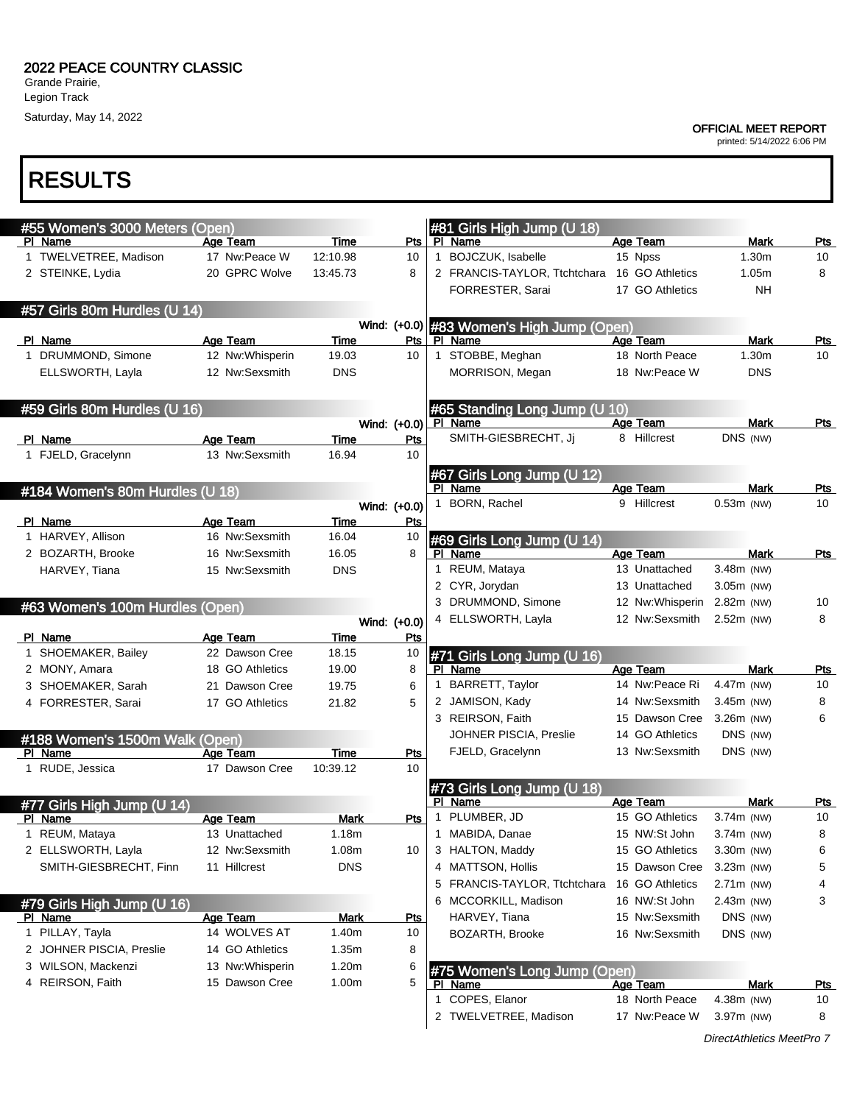Saturday, May 14, 2022

RESULTS

#### OFFICIAL MEET REPORT

printed: 5/14/2022 6:06 PM

#### #55 Women's 3000 Meters (Open)<br>Pl Name Age 1 Age Team Time Pts 1 TWELVETREE, Madison 17 Nw:Peace W 12:10.98 10 2 STEINKE, Lydia 20 GPRC Wolve 13:45.73 8 #57 Girls 80m Hurdles (U 14) Wind: (+0.0) PI Name **Age Team** Time Pts 1 DRUMMOND, Simone 12 Nw:Whisperin 19.03 10 ELLSWORTH, Layla 12 Nw:Sexsmith DNS #59 Girls 80m Hurdles (U 16) Wind: (+0.0) PI Name **Age Team** Time Pts 1 FJELD, Gracelynn 13 Nw:Sexsmith 16.94 10 #184 Women's 80m Hurdles (U 18) Wind: (+0.0) PI Name **Age Team** Time Pts 1 HARVEY, Allison 16 Nw:Sexsmith 16.04 10 2 BOZARTH, Brooke 16 Nw:Sexsmith 16.05 8 HARVEY, Tiana 15 Nw:Sexsmith DNS #63 Women's 100m Hurdles (Open) Wind: (+0.0) PI Name **Age Team** Time Pts 1 SHOEMAKER, Bailey 22 Dawson Cree 18.15 10 2 MONY, Amara **18 GO Athletics** 19.00 8 3 SHOEMAKER, Sarah 21 Dawson Cree 19.75 6 4 FORRESTER, Sarai 17 GO Athletics 21.82 5 #188 Women's 1500m Walk (Open) PI Name **Age Team** Time Pts 1 RUDE, Jessica 17 Dawson Cree 10:39.12 10 #77 Girls High Jump (U 14) PI Name **Age Team** Mark Pts 1 REUM, Mataya 13 Unattached 1.18m 2 ELLSWORTH, Layla 12 Nw:Sexsmith 1.08m 10 SMITH-GIESBRECHT, Finn 11 Hillcrest DNS #79 Girls High Jump (U 16) Age Team Mark Pts 1 PILLAY, Tayla **14 WOLVES AT** 1.40m 10 2 JOHNER PISCIA, Preslie 14 GO Athletics 1.35m 8 3 WILSON, Mackenzi 13 Nw:Whisperin 1.20m 6 4 REIRSON, Faith 15 Dawson Cree 1.00m 5 #81 Girls High Jump (U 18)<br>PL Name **Plane Age Team Mark Pts** 1 BOJCZUK, Isabelle 15 Npss 1.30m 10 2 FRANCIS-TAYLOR, Ttchtchara 16 GO Athletics 1.05m 8 FORRESTER, Sarai 17 GO Athletics NH #83 Women's High Jump (Open) PI Name **Age Team** Mark Pts 1 STOBBE, Meghan 18 North Peace 1.30m 10 MORRISON, Megan 18 Nw:Peace W DNS #65 Standing Long Jump (U 10) PI Name **Age Team** Mark Pts SMITH-GIESBRECHT, Jj 8 Hillcrest DNS (NW) #67 Girls Long Jump (U 12) Age Team Mark Pts 1 BORN, Rachel 9 Hillcrest 0.53m (NW) 10 #69 Girls Long Jump (U 14) PI Name **Age Team** Mark Pts 1 REUM, Mataya 13 Unattached 3.48m (NW) 2 CYR, Jorydan 13 Unattached 3.05m (NW) 3 DRUMMOND, Simone 12 Nw:Whisperin 2.82m (NW) 10 4 ELLSWORTH, Layla 12 Nw:Sexsmith 2.52m (NW) 8 #71 Girls Long Jump (U 16) PI Name **Age Team** Age Team Mark Pts 1 BARRETT, Taylor 14 Nw:Peace Ri 4.47m (NW) 10 2 JAMISON, Kady 14 Nw:Sexsmith 3.45m (NW) 8 3 REIRSON, Faith 15 Dawson Cree 3.26m (NW) 6 JOHNER PISCIA, Preslie 14 GO Athletics DNS (NW) FJELD, Gracelynn 13 Nw:Sexsmith DNS (NW) #73 Girls Long Jump (U 18) Age Team Mark Pts 1 PLUMBER, JD 15 GO Athletics 3.74m (NW) 10 1 MABIDA, Danae 15 NW:St John 3.74m (NW) 8 3 HALTON, Maddy 15 GO Athletics 3.30m (NW) 6 4 MATTSON, Hollis 15 Dawson Cree 3.23m (NW) 5 5 FRANCIS-TAYLOR, Ttchtchara 16 GO Athletics 2.71m (NW) 4 6 MCCORKILL, Madison 16 NW:St John 2.43m (NW) 3 HARVEY, Tiana 15 Nw:Sexsmith DNS (NW) BOZARTH, Brooke 16 Nw:Sexsmith DNS (NW) #75 Women's Long Jump (Open) PI Name **Age Team** Mark Pts 1 COPES, Elanor 18 North Peace 4.38m (NW) 10 2 TWELVETREE, Madison 17 Nw:Peace W 3.97m (NW) 8